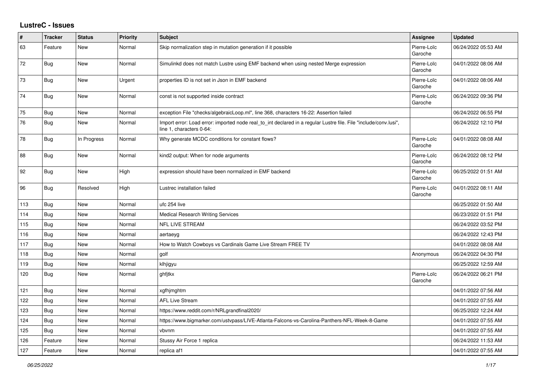## **LustreC - Issues**

| #   | <b>Tracker</b> | <b>Status</b> | <b>Priority</b> | <b>Subject</b>                                                                                                                               | <b>Assignee</b>        | <b>Updated</b>      |
|-----|----------------|---------------|-----------------|----------------------------------------------------------------------------------------------------------------------------------------------|------------------------|---------------------|
| 63  | Feature        | <b>New</b>    | Normal          | Skip normalization step in mutation generation if it possible                                                                                | Pierre-Loïc<br>Garoche | 06/24/2022 05:53 AM |
| 72  | Bug            | New           | Normal          | Simulinkd does not match Lustre using EMF backend when using nested Merge expression                                                         | Pierre-Loïc<br>Garoche | 04/01/2022 08:06 AM |
| 73  | <b>Bug</b>     | New           | Urgent          | properties ID is not set in Json in EMF backend                                                                                              | Pierre-Loïc<br>Garoche | 04/01/2022 08:06 AM |
| 74  | <b>Bug</b>     | <b>New</b>    | Normal          | const is not supported inside contract                                                                                                       | Pierre-Loïc<br>Garoche | 06/24/2022 09:36 PM |
| 75  | Bug            | <b>New</b>    | Normal          | exception File "checks/algebraicLoop.ml", line 368, characters 16-22: Assertion failed                                                       |                        | 06/24/2022 06:55 PM |
| 76  | <b>Bug</b>     | New           | Normal          | Import error: Load error: imported node real to int declared in a regular Lustre file. File "include/conv.lusi",<br>line 1, characters 0-64: |                        | 06/24/2022 12:10 PM |
| 78  | <b>Bug</b>     | In Progress   | Normal          | Why generate MCDC conditions for constant flows?                                                                                             | Pierre-Loïc<br>Garoche | 04/01/2022 08:08 AM |
| 88  | <b>Bug</b>     | New           | Normal          | kind2 output: When for node arguments                                                                                                        | Pierre-Loïc<br>Garoche | 06/24/2022 08:12 PM |
| 92  | Bug            | <b>New</b>    | High            | expression should have been normalized in EMF backend                                                                                        | Pierre-Loïc<br>Garoche | 06/25/2022 01:51 AM |
| 96  | <b>Bug</b>     | Resolved      | High            | Lustrec installation failed                                                                                                                  | Pierre-Loïc<br>Garoche | 04/01/2022 08:11 AM |
| 113 | <b>Bug</b>     | <b>New</b>    | Normal          | ufc 254 live                                                                                                                                 |                        | 06/25/2022 01:50 AM |
| 114 | <b>Bug</b>     | New           | Normal          | Medical Research Writing Services                                                                                                            |                        | 06/23/2022 01:51 PM |
| 115 | Bug            | <b>New</b>    | Normal          | NFL LIVE STREAM                                                                                                                              |                        | 06/24/2022 03:52 PM |
| 116 | Bug            | <b>New</b>    | Normal          | aertaeyg                                                                                                                                     |                        | 06/24/2022 12:43 PM |
| 117 | <b>Bug</b>     | New           | Normal          | How to Watch Cowboys vs Cardinals Game Live Stream FREE TV                                                                                   |                        | 04/01/2022 08:08 AM |
| 118 | <b>Bug</b>     | <b>New</b>    | Normal          | golf                                                                                                                                         | Anonymous              | 06/24/2022 04:30 PM |
| 119 | Bug            | <b>New</b>    | Normal          | klhjigyu                                                                                                                                     |                        | 06/25/2022 12:59 AM |
| 120 | Bug            | <b>New</b>    | Normal          | ghfjtkx                                                                                                                                      | Pierre-Loïc<br>Garoche | 06/24/2022 06:21 PM |
| 121 | <b>Bug</b>     | <b>New</b>    | Normal          | xgfhjmghtm                                                                                                                                   |                        | 04/01/2022 07:56 AM |
| 122 | Bug            | New           | Normal          | <b>AFL Live Stream</b>                                                                                                                       |                        | 04/01/2022 07:55 AM |
| 123 | Bug            | <b>New</b>    | Normal          | https://www.reddit.com/r/NRLgrandfinal2020/                                                                                                  |                        | 06/25/2022 12:24 AM |
| 124 | <b>Bug</b>     | New           | Normal          | https://www.bigmarker.com/ustvpass/LIVE-Atlanta-Falcons-vs-Carolina-Panthers-NFL-Week-8-Game                                                 |                        | 04/01/2022 07:55 AM |
| 125 | <b>Bug</b>     | New           | Normal          | vbvnm                                                                                                                                        |                        | 04/01/2022 07:55 AM |
| 126 | Feature        | <b>New</b>    | Normal          | Stussy Air Force 1 replica                                                                                                                   |                        | 06/24/2022 11:53 AM |
| 127 | Feature        | <b>New</b>    | Normal          | replica af1                                                                                                                                  |                        | 04/01/2022 07:55 AM |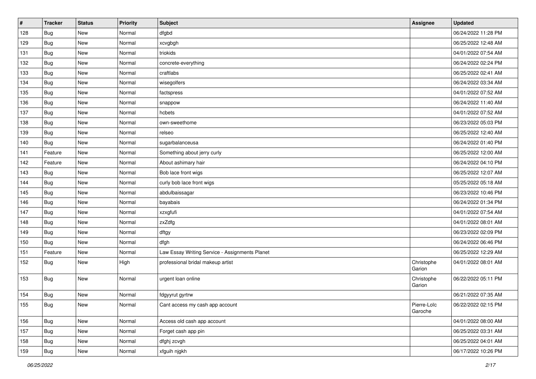| #   | <b>Tracker</b> | <b>Status</b> | <b>Priority</b> | <b>Subject</b>                                 | Assignee               | <b>Updated</b>      |
|-----|----------------|---------------|-----------------|------------------------------------------------|------------------------|---------------------|
| 128 | <b>Bug</b>     | New           | Normal          | dfgbd                                          |                        | 06/24/2022 11:28 PM |
| 129 | <b>Bug</b>     | New           | Normal          | xcvgbgh                                        |                        | 06/25/2022 12:48 AM |
| 131 | <b>Bug</b>     | New           | Normal          | triokids                                       |                        | 04/01/2022 07:54 AM |
| 132 | <b>Bug</b>     | New           | Normal          | concrete-everything                            |                        | 06/24/2022 02:24 PM |
| 133 | <b>Bug</b>     | New           | Normal          | craftlabs                                      |                        | 06/25/2022 02:41 AM |
| 134 | <b>Bug</b>     | New           | Normal          | wisegolfers                                    |                        | 06/24/2022 03:34 AM |
| 135 | Bug            | New           | Normal          | factspress                                     |                        | 04/01/2022 07:52 AM |
| 136 | <b>Bug</b>     | New           | Normal          | snappow                                        |                        | 06/24/2022 11:40 AM |
| 137 | <b>Bug</b>     | New           | Normal          | hcbets                                         |                        | 04/01/2022 07:52 AM |
| 138 | <b>Bug</b>     | New           | Normal          | own-sweethome                                  |                        | 06/23/2022 05:03 PM |
| 139 | <b>Bug</b>     | New           | Normal          | relseo                                         |                        | 06/25/2022 12:40 AM |
| 140 | Bug            | New           | Normal          | sugarbalanceusa                                |                        | 06/24/2022 01:40 PM |
| 141 | Feature        | New           | Normal          | Something about jerry curly                    |                        | 06/25/2022 12:00 AM |
| 142 | Feature        | New           | Normal          | About ashimary hair                            |                        | 06/24/2022 04:10 PM |
| 143 | <b>Bug</b>     | New           | Normal          | Bob lace front wigs                            |                        | 06/25/2022 12:07 AM |
| 144 | <b>Bug</b>     | New           | Normal          | curly bob lace front wigs                      |                        | 05/25/2022 05:18 AM |
| 145 | <b>Bug</b>     | New           | Normal          | abdulbaissagar                                 |                        | 06/23/2022 10:46 PM |
| 146 | <b>Bug</b>     | New           | Normal          | bayabais                                       |                        | 06/24/2022 01:34 PM |
| 147 | <b>Bug</b>     | New           | Normal          | xzxgfufi                                       |                        | 04/01/2022 07:54 AM |
| 148 | <b>Bug</b>     | New           | Normal          | zxZdfg                                         |                        | 04/01/2022 08:01 AM |
| 149 | <b>Bug</b>     | New           | Normal          | dftgy                                          |                        | 06/23/2022 02:09 PM |
| 150 | Bug            | New           | Normal          | dfgh                                           |                        | 06/24/2022 06:46 PM |
| 151 | Feature        | New           | Normal          | Law Essay Writing Service - Assignments Planet |                        | 06/25/2022 12:29 AM |
| 152 | <b>Bug</b>     | New           | High            | professional bridal makeup artist              | Christophe<br>Garion   | 04/01/2022 08:01 AM |
| 153 | <b>Bug</b>     | New           | Normal          | urgent loan online                             | Christophe<br>Garion   | 06/22/2022 05:11 PM |
| 154 | Bug            | New           | Normal          | fdgyyrut gyrtrw                                |                        | 06/21/2022 07:35 AM |
| 155 | Bug            | New           | Normal          | Cant access my cash app account                | Pierre-Loïc<br>Garoche | 06/22/2022 02:15 PM |
| 156 | <b>Bug</b>     | New           | Normal          | Access old cash app account                    |                        | 04/01/2022 08:00 AM |
| 157 | <b>Bug</b>     | New           | Normal          | Forget cash app pin                            |                        | 06/25/2022 03:31 AM |
| 158 | <b>Bug</b>     | New           | Normal          | dfghj zcvgh                                    |                        | 06/25/2022 04:01 AM |
| 159 | Bug            | New           | Normal          | xfguih njgkh                                   |                        | 06/17/2022 10:26 PM |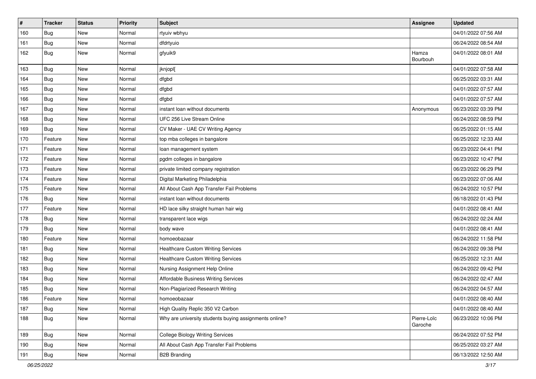| #   | Tracker    | <b>Status</b> | <b>Priority</b> | <b>Subject</b>                                         | Assignee               | <b>Updated</b>      |
|-----|------------|---------------|-----------------|--------------------------------------------------------|------------------------|---------------------|
| 160 | Bug        | New           | Normal          | rtyuiv wbhyu                                           |                        | 04/01/2022 07:56 AM |
| 161 | Bug        | <b>New</b>    | Normal          | dfdrtyuio                                              |                        | 06/24/2022 08:54 AM |
| 162 | <b>Bug</b> | New           | Normal          | gfyuik9                                                | Hamza<br>Bourbouh      | 04/01/2022 08:01 AM |
| 163 | <b>Bug</b> | <b>New</b>    | Normal          | jknjopl[                                               |                        | 04/01/2022 07:58 AM |
| 164 | <b>Bug</b> | New           | Normal          | dfgbd                                                  |                        | 06/25/2022 03:31 AM |
| 165 | Bug        | New           | Normal          | dfgbd                                                  |                        | 04/01/2022 07:57 AM |
| 166 | Bug        | New           | Normal          | dfgbd                                                  |                        | 04/01/2022 07:57 AM |
| 167 | Bug        | New           | Normal          | instant loan without documents                         | Anonymous              | 06/23/2022 03:39 PM |
| 168 | Bug        | New           | Normal          | UFC 256 Live Stream Online                             |                        | 06/24/2022 08:59 PM |
| 169 | Bug        | New           | Normal          | CV Maker - UAE CV Writing Agency                       |                        | 06/25/2022 01:15 AM |
| 170 | Feature    | <b>New</b>    | Normal          | top mba colleges in bangalore                          |                        | 06/25/2022 12:33 AM |
| 171 | Feature    | New           | Normal          | loan management system                                 |                        | 06/23/2022 04:41 PM |
| 172 | Feature    | New           | Normal          | pgdm colleges in bangalore                             |                        | 06/23/2022 10:47 PM |
| 173 | Feature    | New           | Normal          | private limited company registration                   |                        | 06/23/2022 06:29 PM |
| 174 | Feature    | New           | Normal          | Digital Marketing Philadelphia                         |                        | 06/23/2022 07:06 AM |
| 175 | Feature    | New           | Normal          | All About Cash App Transfer Fail Problems              |                        | 06/24/2022 10:57 PM |
| 176 | Bug        | New           | Normal          | instant loan without documents                         |                        | 06/18/2022 01:43 PM |
| 177 | Feature    | New           | Normal          | HD lace silky straight human hair wig                  |                        | 04/01/2022 08:41 AM |
| 178 | Bug        | New           | Normal          | transparent lace wigs                                  |                        | 06/24/2022 02:24 AM |
| 179 | Bug        | New           | Normal          | body wave                                              |                        | 04/01/2022 08:41 AM |
| 180 | Feature    | New           | Normal          | homoeobazaar                                           |                        | 06/24/2022 11:58 PM |
| 181 | <b>Bug</b> | New           | Normal          | <b>Healthcare Custom Writing Services</b>              |                        | 06/24/2022 09:38 PM |
| 182 | Bug        | New           | Normal          | <b>Healthcare Custom Writing Services</b>              |                        | 06/25/2022 12:31 AM |
| 183 | <b>Bug</b> | <b>New</b>    | Normal          | Nursing Assignment Help Online                         |                        | 06/24/2022 09:42 PM |
| 184 | <b>Bug</b> | <b>New</b>    | Normal          | <b>Affordable Business Writing Services</b>            |                        | 06/24/2022 02:47 AM |
| 185 | Bug        | New           | Normal          | Non-Plagiarized Research Writing                       |                        | 06/24/2022 04:57 AM |
| 186 | Feature    | New           | Normal          | homoeobazaar                                           |                        | 04/01/2022 08:40 AM |
| 187 | Bug        | New           | Normal          | High Quality Replic 350 V2 Carbon                      |                        | 04/01/2022 08:40 AM |
| 188 | <b>Bug</b> | New           | Normal          | Why are university students buying assignments online? | Pierre-Loïc<br>Garoche | 06/23/2022 10:06 PM |
| 189 | Bug        | New           | Normal          | <b>College Biology Writing Services</b>                |                        | 06/24/2022 07:52 PM |
| 190 | Bug        | New           | Normal          | All About Cash App Transfer Fail Problems              |                        | 06/25/2022 03:27 AM |
| 191 | Bug        | New           | Normal          | <b>B2B Branding</b>                                    |                        | 06/13/2022 12:50 AM |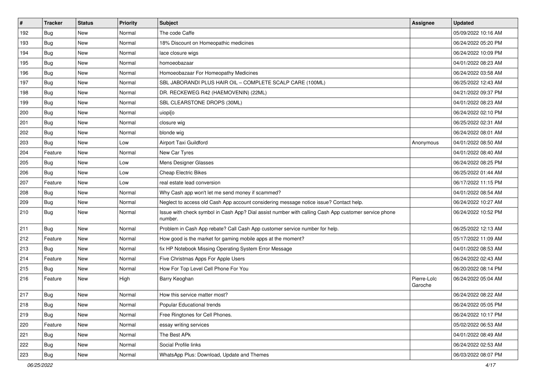| $\vert$ # | <b>Tracker</b> | <b>Status</b> | <b>Priority</b> | Subject                                                                                                         | <b>Assignee</b>        | <b>Updated</b>      |
|-----------|----------------|---------------|-----------------|-----------------------------------------------------------------------------------------------------------------|------------------------|---------------------|
| 192       | <b>Bug</b>     | New           | Normal          | The code Caffe                                                                                                  |                        | 05/09/2022 10:16 AM |
| 193       | <b>Bug</b>     | <b>New</b>    | Normal          | 18% Discount on Homeopathic medicines                                                                           |                        | 06/24/2022 05:20 PM |
| 194       | Bug            | New           | Normal          | lace closure wigs                                                                                               |                        | 06/24/2022 10:09 PM |
| 195       | Bug            | New           | Normal          | homoeobazaar                                                                                                    |                        | 04/01/2022 08:23 AM |
| 196       | <b>Bug</b>     | New           | Normal          | Homoeobazaar For Homeopathy Medicines                                                                           |                        | 06/24/2022 03:58 AM |
| 197       | Bug            | New           | Normal          | SBL JABORANDI PLUS HAIR OIL - COMPLETE SCALP CARE (100ML)                                                       |                        | 06/25/2022 12:43 AM |
| 198       | Bug            | <b>New</b>    | Normal          | DR. RECKEWEG R42 (HAEMOVENIN) (22ML)                                                                            |                        | 04/21/2022 09:37 PM |
| 199       | Bug            | New           | Normal          | SBL CLEARSTONE DROPS (30ML)                                                                                     |                        | 04/01/2022 08:23 AM |
| 200       | Bug            | New           | Normal          | uiopi[o                                                                                                         |                        | 06/24/2022 02:10 PM |
| 201       | <b>Bug</b>     | New           | Normal          | closure wig                                                                                                     |                        | 06/25/2022 02:31 AM |
| 202       | Bug            | New           | Normal          | blonde wig                                                                                                      |                        | 06/24/2022 08:01 AM |
| 203       | Bug            | New           | Low             | Airport Taxi Guildford                                                                                          | Anonymous              | 04/01/2022 08:50 AM |
| 204       | Feature        | New           | Normal          | New Car Tyres                                                                                                   |                        | 04/01/2022 08:40 AM |
| 205       | Bug            | New           | Low             | Mens Designer Glasses                                                                                           |                        | 06/24/2022 08:25 PM |
| 206       | <b>Bug</b>     | New           | Low             | <b>Cheap Electric Bikes</b>                                                                                     |                        | 06/25/2022 01:44 AM |
| 207       | Feature        | <b>New</b>    | Low             | real estate lead conversion                                                                                     |                        | 06/17/2022 11:15 PM |
| 208       | Bug            | New           | Normal          | Why Cash app won't let me send money if scammed?                                                                |                        | 04/01/2022 08:54 AM |
| 209       | <b>Bug</b>     | New           | Normal          | Neglect to access old Cash App account considering message notice issue? Contact help.                          |                        | 06/24/2022 10:27 AM |
| 210       | Bug            | New           | Normal          | Issue with check symbol in Cash App? Dial assist number with calling Cash App customer service phone<br>number. |                        | 06/24/2022 10:52 PM |
| 211       | Bug            | New           | Normal          | Problem in Cash App rebate? Call Cash App customer service number for help.                                     |                        | 06/25/2022 12:13 AM |
| 212       | Feature        | New           | Normal          | How good is the market for gaming mobile apps at the moment?                                                    |                        | 05/17/2022 11:09 AM |
| 213       | Bug            | New           | Normal          | fix HP Notebook Missing Operating System Error Message                                                          |                        | 04/01/2022 08:53 AM |
| 214       | Feature        | <b>New</b>    | Normal          | Five Christmas Apps For Apple Users                                                                             |                        | 06/24/2022 02:43 AM |
| 215       | Bug            | New           | Normal          | How For Top Level Cell Phone For You                                                                            |                        | 06/20/2022 08:14 PM |
| 216       | Feature        | New           | High            | Barry Keoghan                                                                                                   | Pierre-Loïc<br>Garoche | 06/24/2022 05:04 AM |
| 217       | Bug            | <b>New</b>    | Normal          | How this service matter most?                                                                                   |                        | 06/24/2022 08:22 AM |
| 218       | Bug            | New           | Normal          | Popular Educational trends                                                                                      |                        | 06/24/2022 05:05 PM |
| 219       | <b>Bug</b>     | New           | Normal          | Free Ringtones for Cell Phones.                                                                                 |                        | 06/24/2022 10:17 PM |
| 220       | Feature        | New           | Normal          | essay writing services                                                                                          |                        | 05/02/2022 06:53 AM |
| 221       | <b>Bug</b>     | New           | Normal          | The Best APk                                                                                                    |                        | 04/01/2022 08:49 AM |
| 222       | <b>Bug</b>     | New           | Normal          | Social Profile links                                                                                            |                        | 06/24/2022 02:53 AM |
| 223       | <b>Bug</b>     | New           | Normal          | WhatsApp Plus: Download, Update and Themes                                                                      |                        | 06/03/2022 08:07 PM |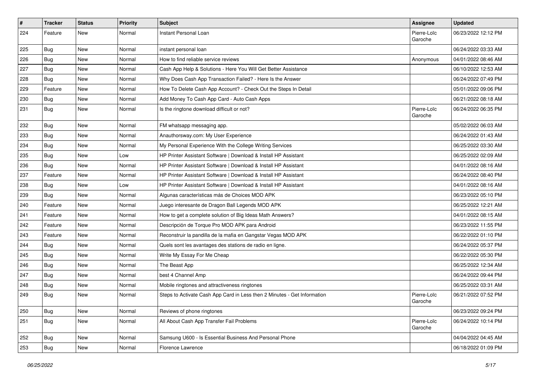| #   | <b>Tracker</b> | <b>Status</b> | <b>Priority</b> | Subject                                                                  | Assignee               | <b>Updated</b>      |
|-----|----------------|---------------|-----------------|--------------------------------------------------------------------------|------------------------|---------------------|
| 224 | Feature        | New           | Normal          | Instant Personal Loan                                                    | Pierre-Loïc<br>Garoche | 06/23/2022 12:12 PM |
| 225 | <b>Bug</b>     | <b>New</b>    | Normal          | instant personal loan                                                    |                        | 06/24/2022 03:33 AM |
| 226 | <b>Bug</b>     | <b>New</b>    | Normal          | How to find reliable service reviews                                     | Anonymous              | 04/01/2022 08:46 AM |
| 227 | Bug            | <b>New</b>    | Normal          | Cash App Help & Solutions - Here You Will Get Better Assistance          |                        | 06/10/2022 12:53 AM |
| 228 | Bug            | <b>New</b>    | Normal          | Why Does Cash App Transaction Failed? - Here Is the Answer               |                        | 06/24/2022 07:49 PM |
| 229 | Feature        | <b>New</b>    | Normal          | How To Delete Cash App Account? - Check Out the Steps In Detail          |                        | 05/01/2022 09:06 PM |
| 230 | Bug            | New           | Normal          | Add Money To Cash App Card - Auto Cash Apps                              |                        | 06/21/2022 08:18 AM |
| 231 | <b>Bug</b>     | New           | Normal          | Is the ringtone download difficult or not?                               | Pierre-Loïc<br>Garoche | 06/24/2022 06:35 PM |
| 232 | <b>Bug</b>     | <b>New</b>    | Normal          | FM whatsapp messaging app.                                               |                        | 05/02/2022 06:03 AM |
| 233 | <b>Bug</b>     | <b>New</b>    | Normal          | Anauthorsway.com: My User Experience                                     |                        | 06/24/2022 01:43 AM |
| 234 | <b>Bug</b>     | <b>New</b>    | Normal          | My Personal Experience With the College Writing Services                 |                        | 06/25/2022 03:30 AM |
| 235 | Bug            | <b>New</b>    | Low             | HP Printer Assistant Software   Download & Install HP Assistant          |                        | 06/25/2022 02:09 AM |
| 236 | <b>Bug</b>     | <b>New</b>    | Normal          | HP Printer Assistant Software   Download & Install HP Assistant          |                        | 04/01/2022 08:16 AM |
| 237 | Feature        | New           | Normal          | HP Printer Assistant Software   Download & Install HP Assistant          |                        | 06/24/2022 08:40 PM |
| 238 | <b>Bug</b>     | <b>New</b>    | Low             | HP Printer Assistant Software   Download & Install HP Assistant          |                        | 04/01/2022 08:16 AM |
| 239 | Bug            | <b>New</b>    | Normal          | Algunas características más de Choices MOD APK                           |                        | 06/23/2022 05:10 PM |
| 240 | Feature        | <b>New</b>    | Normal          | Juego interesante de Dragon Ball Legends MOD APK                         |                        | 06/25/2022 12:21 AM |
| 241 | Feature        | <b>New</b>    | Normal          | How to get a complete solution of Big Ideas Math Answers?                |                        | 04/01/2022 08:15 AM |
| 242 | Feature        | New           | Normal          | Descripción de Torque Pro MOD APK para Android                           |                        | 06/23/2022 11:55 PM |
| 243 | Feature        | <b>New</b>    | Normal          | Reconstruir la pandilla de la mafia en Gangstar Vegas MOD APK            |                        | 06/22/2022 01:10 PM |
| 244 | Bug            | <b>New</b>    | Normal          | Quels sont les avantages des stations de radio en ligne.                 |                        | 06/24/2022 05:37 PM |
| 245 | <b>Bug</b>     | <b>New</b>    | Normal          | Write My Essay For Me Cheap                                              |                        | 06/22/2022 05:30 PM |
| 246 | <b>Bug</b>     | <b>New</b>    | Normal          | The Beast App                                                            |                        | 06/25/2022 12:34 AM |
| 247 | <b>Bug</b>     | New           | Normal          | best 4 Channel Amp                                                       |                        | 06/24/2022 09:44 PM |
| 248 | <b>Bug</b>     | <b>New</b>    | Normal          | Mobile ringtones and attractiveness ringtones                            |                        | 06/25/2022 03:31 AM |
| 249 | <b>Bug</b>     | <b>New</b>    | Normal          | Steps to Activate Cash App Card in Less then 2 Minutes - Get Information | Pierre-Loïc<br>Garoche | 06/21/2022 07:52 PM |
| 250 | <b>Bug</b>     | New           | Normal          | Reviews of phone ringtones                                               |                        | 06/23/2022 09:24 PM |
| 251 | <b>Bug</b>     | New           | Normal          | All About Cash App Transfer Fail Problems                                | Pierre-Loïc<br>Garoche | 06/24/2022 10:14 PM |
| 252 | <b>Bug</b>     | New           | Normal          | Samsung U600 - Is Essential Business And Personal Phone                  |                        | 04/04/2022 04:45 AM |
| 253 | <b>Bug</b>     | New           | Normal          | Florence Lawrence                                                        |                        | 06/18/2022 01:09 PM |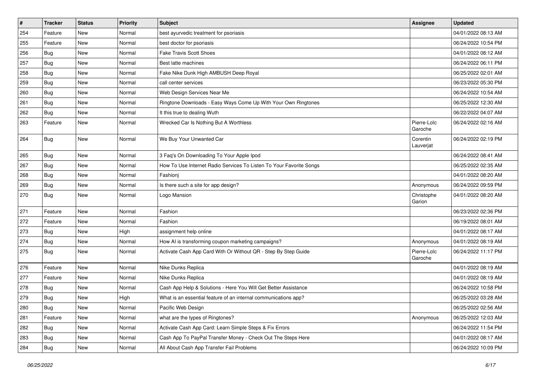| #   | <b>Tracker</b> | <b>Status</b> | <b>Priority</b> | Subject                                                             | <b>Assignee</b>        | <b>Updated</b>      |
|-----|----------------|---------------|-----------------|---------------------------------------------------------------------|------------------------|---------------------|
| 254 | Feature        | New           | Normal          | best ayurvedic treatment for psoriasis                              |                        | 04/01/2022 08:13 AM |
| 255 | Feature        | New           | Normal          | best doctor for psoriasis                                           |                        | 06/24/2022 10:54 PM |
| 256 | Bug            | New           | Normal          | <b>Fake Travis Scott Shoes</b>                                      |                        | 04/01/2022 08:12 AM |
| 257 | Bug            | New           | Normal          | Best latte machines                                                 |                        | 06/24/2022 06:11 PM |
| 258 | <b>Bug</b>     | New           | Normal          | Fake Nike Dunk High AMBUSH Deep Royal                               |                        | 06/25/2022 02:01 AM |
| 259 | Bug            | New           | Normal          | call center services                                                |                        | 06/23/2022 05:30 PM |
| 260 | <b>Bug</b>     | <b>New</b>    | Normal          | Web Design Services Near Me                                         |                        | 06/24/2022 10:54 AM |
| 261 | Bug            | New           | Normal          | Ringtone Downloads - Easy Ways Come Up With Your Own Ringtones      |                        | 06/25/2022 12:30 AM |
| 262 | Bug            | New           | Normal          | It this true to dealing Wuth                                        |                        | 06/22/2022 04:07 AM |
| 263 | Feature        | New           | Normal          | Wrecked Car Is Nothing But A Worthless                              | Pierre-Loïc<br>Garoche | 06/24/2022 02:16 AM |
| 264 | Bug            | New           | Normal          | We Buy Your Unwanted Car                                            | Corentin<br>Lauverjat  | 06/24/2022 02:19 PM |
| 265 | Bug            | New           | Normal          | 3 Faq's On Downloading To Your Apple Ipod                           |                        | 06/24/2022 08:41 AM |
| 267 | <b>Bug</b>     | New           | Normal          | How To Use Internet Radio Services To Listen To Your Favorite Songs |                        | 06/25/2022 02:35 AM |
| 268 | Bug            | New           | Normal          | Fashionj                                                            |                        | 04/01/2022 08:20 AM |
| 269 | <b>Bug</b>     | New           | Normal          | Is there such a site for app design?                                | Anonymous              | 06/24/2022 09:59 PM |
| 270 | <b>Bug</b>     | New           | Normal          | Logo Mansion                                                        | Christophe<br>Garion   | 04/01/2022 08:20 AM |
| 271 | Feature        | New           | Normal          | Fashion                                                             |                        | 06/23/2022 02:36 PM |
| 272 | Feature        | New           | Normal          | Fashion                                                             |                        | 06/19/2022 08:01 AM |
| 273 | Bug            | New           | High            | assignment help online                                              |                        | 04/01/2022 08:17 AM |
| 274 | <b>Bug</b>     | New           | Normal          | How AI is transforming coupon marketing campaigns?                  | Anonymous              | 04/01/2022 08:19 AM |
| 275 | Bug            | New           | Normal          | Activate Cash App Card With Or Without QR - Step By Step Guide      | Pierre-Loïc<br>Garoche | 06/24/2022 11:17 PM |
| 276 | Feature        | <b>New</b>    | Normal          | Nike Dunks Replica                                                  |                        | 04/01/2022 08:19 AM |
| 277 | Feature        | New           | Normal          | Nike Dunks Replica                                                  |                        | 04/01/2022 08:19 AM |
| 278 | Bug            | New           | Normal          | Cash App Help & Solutions - Here You Will Get Better Assistance     |                        | 06/24/2022 10:58 PM |
| 279 | <b>Bug</b>     | New           | High            | What is an essential feature of an internal communications app?     |                        | 06/25/2022 03:28 AM |
| 280 | Bug            | New           | Normal          | Pacific Web Design                                                  |                        | 06/25/2022 02:56 AM |
| 281 | Feature        | New           | Normal          | what are the types of Ringtones?                                    | Anonymous              | 06/25/2022 12:03 AM |
| 282 | <b>Bug</b>     | New           | Normal          | Activate Cash App Card: Learn Simple Steps & Fix Errors             |                        | 06/24/2022 11:54 PM |
| 283 | <b>Bug</b>     | New           | Normal          | Cash App To PayPal Transfer Money - Check Out The Steps Here        |                        | 04/01/2022 08:17 AM |
| 284 | <b>Bug</b>     | New           | Normal          | All About Cash App Transfer Fail Problems                           |                        | 06/24/2022 10:09 PM |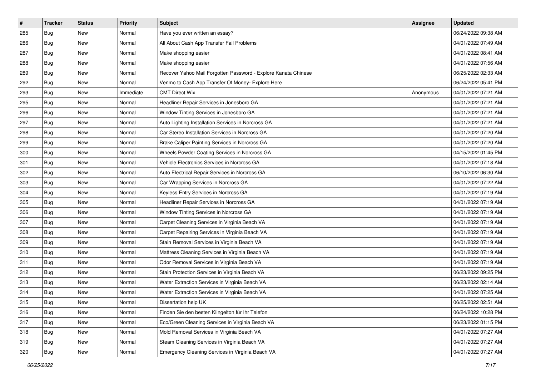| #   | <b>Tracker</b> | <b>Status</b> | <b>Priority</b> | Subject                                                        | <b>Assignee</b> | <b>Updated</b>      |
|-----|----------------|---------------|-----------------|----------------------------------------------------------------|-----------------|---------------------|
| 285 | <b>Bug</b>     | New           | Normal          | Have you ever written an essay?                                |                 | 06/24/2022 09:38 AM |
| 286 | Bug            | New           | Normal          | All About Cash App Transfer Fail Problems                      |                 | 04/01/2022 07:49 AM |
| 287 | Bug            | New           | Normal          | Make shopping easier                                           |                 | 04/01/2022 08:41 AM |
| 288 | Bug            | New           | Normal          | Make shopping easier                                           |                 | 04/01/2022 07:56 AM |
| 289 | <b>Bug</b>     | New           | Normal          | Recover Yahoo Mail Forgotten Password - Explore Kanata Chinese |                 | 06/25/2022 02:33 AM |
| 292 | Bug            | New           | Normal          | Venmo to Cash App Transfer Of Money- Explore Here              |                 | 06/24/2022 05:41 PM |
| 293 | Bug            | New           | Immediate       | <b>CMT Direct Wix</b>                                          | Anonymous       | 04/01/2022 07:21 AM |
| 295 | Bug            | New           | Normal          | Headliner Repair Services in Jonesboro GA                      |                 | 04/01/2022 07:21 AM |
| 296 | Bug            | New           | Normal          | Window Tinting Services in Jonesboro GA                        |                 | 04/01/2022 07:21 AM |
| 297 | <b>Bug</b>     | New           | Normal          | Auto Lighting Installation Services in Norcross GA             |                 | 04/01/2022 07:21 AM |
| 298 | Bug            | New           | Normal          | Car Stereo Installation Services in Norcross GA                |                 | 04/01/2022 07:20 AM |
| 299 | Bug            | New           | Normal          | Brake Caliper Painting Services in Norcross GA                 |                 | 04/01/2022 07:20 AM |
| 300 | <b>Bug</b>     | New           | Normal          | Wheels Powder Coating Services in Norcross GA                  |                 | 04/15/2022 01:45 PM |
| 301 | <b>Bug</b>     | New           | Normal          | Vehicle Electronics Services in Norcross GA                    |                 | 04/01/2022 07:18 AM |
| 302 | <b>Bug</b>     | New           | Normal          | Auto Electrical Repair Services in Norcross GA                 |                 | 06/10/2022 06:30 AM |
| 303 | Bug            | New           | Normal          | Car Wrapping Services in Norcross GA                           |                 | 04/01/2022 07:22 AM |
| 304 | Bug            | New           | Normal          | Keyless Entry Services in Norcross GA                          |                 | 04/01/2022 07:19 AM |
| 305 | <b>Bug</b>     | New           | Normal          | Headliner Repair Services in Norcross GA                       |                 | 04/01/2022 07:19 AM |
| 306 | <b>Bug</b>     | New           | Normal          | Window Tinting Services in Norcross GA                         |                 | 04/01/2022 07:19 AM |
| 307 | Bug            | New           | Normal          | Carpet Cleaning Services in Virginia Beach VA                  |                 | 04/01/2022 07:19 AM |
| 308 | Bug            | New           | Normal          | Carpet Repairing Services in Virginia Beach VA                 |                 | 04/01/2022 07:19 AM |
| 309 | Bug            | New           | Normal          | Stain Removal Services in Virginia Beach VA                    |                 | 04/01/2022 07:19 AM |
| 310 | <b>Bug</b>     | New           | Normal          | Mattress Cleaning Services in Virginia Beach VA                |                 | 04/01/2022 07:19 AM |
| 311 | <b>Bug</b>     | New           | Normal          | Odor Removal Services in Virginia Beach VA                     |                 | 04/01/2022 07:19 AM |
| 312 | Bug            | New           | Normal          | Stain Protection Services in Virginia Beach VA                 |                 | 06/23/2022 09:25 PM |
| 313 | Bug            | New           | Normal          | Water Extraction Services in Virginia Beach VA                 |                 | 06/23/2022 02:14 AM |
| 314 | Bug            | New           | Normal          | Water Extraction Services in Virginia Beach VA                 |                 | 04/01/2022 07:25 AM |
| 315 | <b>Bug</b>     | New           | Normal          | Dissertation help UK                                           |                 | 06/25/2022 02:51 AM |
| 316 | Bug            | New           | Normal          | Finden Sie den besten Klingelton für Ihr Telefon               |                 | 06/24/2022 10:28 PM |
| 317 | Bug            | New           | Normal          | Eco/Green Cleaning Services in Virginia Beach VA               |                 | 06/23/2022 01:15 PM |
| 318 | Bug            | New           | Normal          | Mold Removal Services in Virginia Beach VA                     |                 | 04/01/2022 07:27 AM |
| 319 | <b>Bug</b>     | New           | Normal          | Steam Cleaning Services in Virginia Beach VA                   |                 | 04/01/2022 07:27 AM |
| 320 | <b>Bug</b>     | New           | Normal          | Emergency Cleaning Services in Virginia Beach VA               |                 | 04/01/2022 07:27 AM |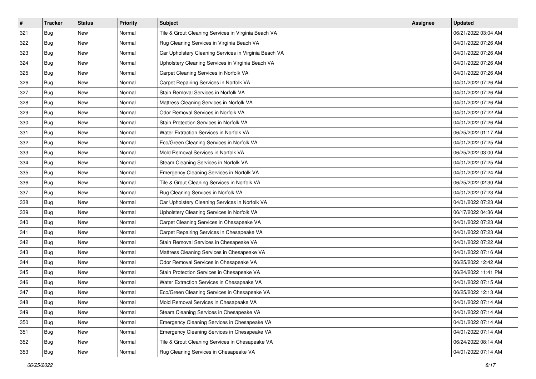| #   | <b>Tracker</b> | <b>Status</b> | <b>Priority</b> | Subject                                               | <b>Assignee</b> | <b>Updated</b>      |
|-----|----------------|---------------|-----------------|-------------------------------------------------------|-----------------|---------------------|
| 321 | <b>Bug</b>     | New           | Normal          | Tile & Grout Cleaning Services in Virginia Beach VA   |                 | 06/21/2022 03:04 AM |
| 322 | Bug            | New           | Normal          | Rug Cleaning Services in Virginia Beach VA            |                 | 04/01/2022 07:26 AM |
| 323 | Bug            | New           | Normal          | Car Upholstery Cleaning Services in Virginia Beach VA |                 | 04/01/2022 07:26 AM |
| 324 | Bug            | New           | Normal          | Upholstery Cleaning Services in Virginia Beach VA     |                 | 04/01/2022 07:26 AM |
| 325 | <b>Bug</b>     | New           | Normal          | Carpet Cleaning Services in Norfolk VA                |                 | 04/01/2022 07:26 AM |
| 326 | Bug            | New           | Normal          | Carpet Repairing Services in Norfolk VA               |                 | 04/01/2022 07:26 AM |
| 327 | Bug            | New           | Normal          | Stain Removal Services in Norfolk VA                  |                 | 04/01/2022 07:26 AM |
| 328 | Bug            | New           | Normal          | Mattress Cleaning Services in Norfolk VA              |                 | 04/01/2022 07:26 AM |
| 329 | Bug            | New           | Normal          | Odor Removal Services in Norfolk VA                   |                 | 04/01/2022 07:22 AM |
| 330 | <b>Bug</b>     | New           | Normal          | Stain Protection Services in Norfolk VA               |                 | 04/01/2022 07:26 AM |
| 331 | Bug            | New           | Normal          | Water Extraction Services in Norfolk VA               |                 | 06/25/2022 01:17 AM |
| 332 | Bug            | New           | Normal          | Eco/Green Cleaning Services in Norfolk VA             |                 | 04/01/2022 07:25 AM |
| 333 | <b>Bug</b>     | New           | Normal          | Mold Removal Services in Norfolk VA                   |                 | 06/25/2022 03:00 AM |
| 334 | <b>Bug</b>     | New           | Normal          | Steam Cleaning Services in Norfolk VA                 |                 | 04/01/2022 07:25 AM |
| 335 | <b>Bug</b>     | New           | Normal          | Emergency Cleaning Services in Norfolk VA             |                 | 04/01/2022 07:24 AM |
| 336 | Bug            | New           | Normal          | Tile & Grout Cleaning Services in Norfolk VA          |                 | 06/25/2022 02:30 AM |
| 337 | Bug            | New           | Normal          | Rug Cleaning Services in Norfolk VA                   |                 | 04/01/2022 07:23 AM |
| 338 | <b>Bug</b>     | New           | Normal          | Car Upholstery Cleaning Services in Norfolk VA        |                 | 04/01/2022 07:23 AM |
| 339 | <b>Bug</b>     | New           | Normal          | Upholstery Cleaning Services in Norfolk VA            |                 | 06/17/2022 04:36 AM |
| 340 | Bug            | New           | Normal          | Carpet Cleaning Services in Chesapeake VA             |                 | 04/01/2022 07:23 AM |
| 341 | <b>Bug</b>     | New           | Normal          | Carpet Repairing Services in Chesapeake VA            |                 | 04/01/2022 07:23 AM |
| 342 | <b>Bug</b>     | New           | Normal          | Stain Removal Services in Chesapeake VA               |                 | 04/01/2022 07:22 AM |
| 343 | <b>Bug</b>     | New           | Normal          | Mattress Cleaning Services in Chesapeake VA           |                 | 04/01/2022 07:16 AM |
| 344 | <b>Bug</b>     | New           | Normal          | Odor Removal Services in Chesapeake VA                |                 | 06/25/2022 12:42 AM |
| 345 | Bug            | New           | Normal          | Stain Protection Services in Chesapeake VA            |                 | 06/24/2022 11:41 PM |
| 346 | Bug            | New           | Normal          | Water Extraction Services in Chesapeake VA            |                 | 04/01/2022 07:15 AM |
| 347 | Bug            | New           | Normal          | Eco/Green Cleaning Services in Chesapeake VA          |                 | 06/25/2022 12:13 AM |
| 348 | <b>Bug</b>     | New           | Normal          | Mold Removal Services in Chesapeake VA                |                 | 04/01/2022 07:14 AM |
| 349 | Bug            | New           | Normal          | Steam Cleaning Services in Chesapeake VA              |                 | 04/01/2022 07:14 AM |
| 350 | Bug            | New           | Normal          | Emergency Cleaning Services in Chesapeake VA          |                 | 04/01/2022 07:14 AM |
| 351 | Bug            | New           | Normal          | Emergency Cleaning Services in Chesapeake VA          |                 | 04/01/2022 07:14 AM |
| 352 | <b>Bug</b>     | New           | Normal          | Tile & Grout Cleaning Services in Chesapeake VA       |                 | 06/24/2022 08:14 AM |
| 353 | <b>Bug</b>     | New           | Normal          | Rug Cleaning Services in Chesapeake VA                |                 | 04/01/2022 07:14 AM |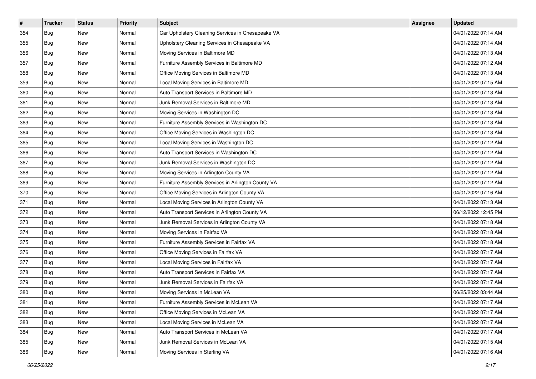| $\#$ | <b>Tracker</b> | <b>Status</b> | <b>Priority</b> | Subject                                            | Assignee | <b>Updated</b>      |
|------|----------------|---------------|-----------------|----------------------------------------------------|----------|---------------------|
| 354  | Bug            | New           | Normal          | Car Upholstery Cleaning Services in Chesapeake VA  |          | 04/01/2022 07:14 AM |
| 355  | <b>Bug</b>     | New           | Normal          | Upholstery Cleaning Services in Chesapeake VA      |          | 04/01/2022 07:14 AM |
| 356  | Bug            | New           | Normal          | Moving Services in Baltimore MD                    |          | 04/01/2022 07:13 AM |
| 357  | Bug            | New           | Normal          | Furniture Assembly Services in Baltimore MD        |          | 04/01/2022 07:12 AM |
| 358  | <b>Bug</b>     | New           | Normal          | Office Moving Services in Baltimore MD             |          | 04/01/2022 07:13 AM |
| 359  | Bug            | New           | Normal          | Local Moving Services in Baltimore MD              |          | 04/01/2022 07:15 AM |
| 360  | Bug            | New           | Normal          | Auto Transport Services in Baltimore MD            |          | 04/01/2022 07:13 AM |
| 361  | Bug            | New           | Normal          | Junk Removal Services in Baltimore MD              |          | 04/01/2022 07:13 AM |
| 362  | Bug            | New           | Normal          | Moving Services in Washington DC                   |          | 04/01/2022 07:13 AM |
| 363  | Bug            | New           | Normal          | Furniture Assembly Services in Washington DC       |          | 04/01/2022 07:13 AM |
| 364  | Bug            | New           | Normal          | Office Moving Services in Washington DC            |          | 04/01/2022 07:13 AM |
| 365  | Bug            | New           | Normal          | Local Moving Services in Washington DC             |          | 04/01/2022 07:12 AM |
| 366  | Bug            | New           | Normal          | Auto Transport Services in Washington DC           |          | 04/01/2022 07:12 AM |
| 367  | Bug            | New           | Normal          | Junk Removal Services in Washington DC             |          | 04/01/2022 07:12 AM |
| 368  | <b>Bug</b>     | New           | Normal          | Moving Services in Arlington County VA             |          | 04/01/2022 07:12 AM |
| 369  | Bug            | New           | Normal          | Furniture Assembly Services in Arlington County VA |          | 04/01/2022 07:12 AM |
| 370  | Bug            | New           | Normal          | Office Moving Services in Arlington County VA      |          | 04/01/2022 07:16 AM |
| 371  | <b>Bug</b>     | New           | Normal          | Local Moving Services in Arlington County VA       |          | 04/01/2022 07:13 AM |
| 372  | Bug            | New           | Normal          | Auto Transport Services in Arlington County VA     |          | 06/12/2022 12:45 PM |
| 373  | Bug            | New           | Normal          | Junk Removal Services in Arlington County VA       |          | 04/01/2022 07:18 AM |
| 374  | Bug            | New           | Normal          | Moving Services in Fairfax VA                      |          | 04/01/2022 07:18 AM |
| 375  | Bug            | New           | Normal          | Furniture Assembly Services in Fairfax VA          |          | 04/01/2022 07:18 AM |
| 376  | <b>Bug</b>     | New           | Normal          | Office Moving Services in Fairfax VA               |          | 04/01/2022 07:17 AM |
| 377  | Bug            | New           | Normal          | Local Moving Services in Fairfax VA                |          | 04/01/2022 07:17 AM |
| 378  | Bug            | New           | Normal          | Auto Transport Services in Fairfax VA              |          | 04/01/2022 07:17 AM |
| 379  | Bug            | New           | Normal          | Junk Removal Services in Fairfax VA                |          | 04/01/2022 07:17 AM |
| 380  | <b>Bug</b>     | New           | Normal          | Moving Services in McLean VA                       |          | 06/25/2022 03:44 AM |
| 381  | <b>Bug</b>     | New           | Normal          | Furniture Assembly Services in McLean VA           |          | 04/01/2022 07:17 AM |
| 382  | Bug            | New           | Normal          | Office Moving Services in McLean VA                |          | 04/01/2022 07:17 AM |
| 383  | <b>Bug</b>     | New           | Normal          | Local Moving Services in McLean VA                 |          | 04/01/2022 07:17 AM |
| 384  | <b>Bug</b>     | New           | Normal          | Auto Transport Services in McLean VA               |          | 04/01/2022 07:17 AM |
| 385  | <b>Bug</b>     | New           | Normal          | Junk Removal Services in McLean VA                 |          | 04/01/2022 07:15 AM |
| 386  | <b>Bug</b>     | New           | Normal          | Moving Services in Sterling VA                     |          | 04/01/2022 07:16 AM |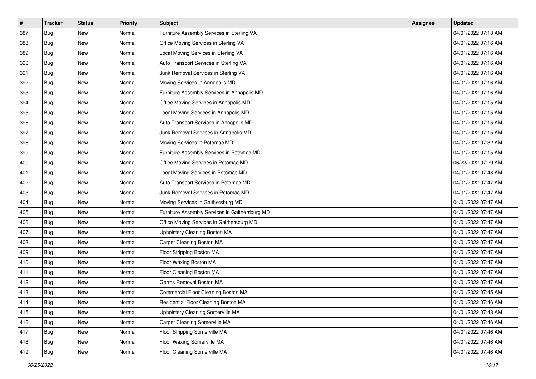| $\#$ | <b>Tracker</b> | <b>Status</b> | <b>Priority</b> | Subject                                        | Assignee | <b>Updated</b>      |
|------|----------------|---------------|-----------------|------------------------------------------------|----------|---------------------|
| 387  | Bug            | New           | Normal          | Furniture Assembly Services in Sterling VA     |          | 04/01/2022 07:18 AM |
| 388  | Bug            | New           | Normal          | Office Moving Services in Sterling VA          |          | 04/01/2022 07:16 AM |
| 389  | Bug            | New           | Normal          | Local Moving Services in Sterling VA           |          | 04/01/2022 07:16 AM |
| 390  | Bug            | New           | Normal          | Auto Transport Services in Sterling VA         |          | 04/01/2022 07:16 AM |
| 391  | <b>Bug</b>     | New           | Normal          | Junk Removal Services in Sterling VA           |          | 04/01/2022 07:16 AM |
| 392  | Bug            | New           | Normal          | Moving Services in Annapolis MD                |          | 04/01/2022 07:16 AM |
| 393  | Bug            | New           | Normal          | Furniture Assembly Services in Annapolis MD    |          | 04/01/2022 07:16 AM |
| 394  | Bug            | New           | Normal          | Office Moving Services in Annapolis MD         |          | 04/01/2022 07:15 AM |
| 395  | Bug            | New           | Normal          | Local Moving Services in Annapolis MD          |          | 04/01/2022 07:15 AM |
| 396  | Bug            | New           | Normal          | Auto Transport Services in Annapolis MD        |          | 04/01/2022 07:15 AM |
| 397  | <b>Bug</b>     | New           | Normal          | Junk Removal Services in Annapolis MD          |          | 04/01/2022 07:15 AM |
| 398  | Bug            | New           | Normal          | Moving Services in Potomac MD                  |          | 04/01/2022 07:32 AM |
| 399  | Bug            | New           | Normal          | Furniture Assembly Services in Potomac MD      |          | 04/01/2022 07:15 AM |
| 400  | Bug            | New           | Normal          | Office Moving Services in Potomac MD           |          | 06/22/2022 07:29 AM |
| 401  | <b>Bug</b>     | New           | Normal          | Local Moving Services in Potomac MD            |          | 04/01/2022 07:48 AM |
| 402  | Bug            | New           | Normal          | Auto Transport Services in Potomac MD          |          | 04/01/2022 07:47 AM |
| 403  | Bug            | New           | Normal          | Junk Removal Services in Potomac MD            |          | 04/01/2022 07:47 AM |
| 404  | <b>Bug</b>     | New           | Normal          | Moving Services in Gaithersburg MD             |          | 04/01/2022 07:47 AM |
| 405  | Bug            | New           | Normal          | Furniture Assembly Services in Gaithersburg MD |          | 04/01/2022 07:47 AM |
| 406  | Bug            | New           | Normal          | Office Moving Services in Gaithersburg MD      |          | 04/01/2022 07:47 AM |
| 407  | Bug            | New           | Normal          | Upholstery Cleaning Boston MA                  |          | 04/01/2022 07:47 AM |
| 408  | Bug            | New           | Normal          | Carpet Cleaning Boston MA                      |          | 04/01/2022 07:47 AM |
| 409  | <b>Bug</b>     | New           | Normal          | Floor Stripping Boston MA                      |          | 04/01/2022 07:47 AM |
| 410  | Bug            | New           | Normal          | Floor Waxing Boston MA                         |          | 04/01/2022 07:47 AM |
| 411  | Bug            | New           | Normal          | Floor Cleaning Boston MA                       |          | 04/01/2022 07:47 AM |
| 412  | Bug            | New           | Normal          | Germs Removal Boston MA                        |          | 04/01/2022 07:47 AM |
| 413  | <b>Bug</b>     | New           | Normal          | Commercial Floor Cleaning Boston MA            |          | 04/01/2022 07:45 AM |
| 414  | <b>Bug</b>     | New           | Normal          | Residential Floor Cleaning Boston MA           |          | 04/01/2022 07:46 AM |
| 415  | Bug            | New           | Normal          | Upholstery Cleaning Somerville MA              |          | 04/01/2022 07:48 AM |
| 416  | <b>Bug</b>     | New           | Normal          | Carpet Cleaning Somerville MA                  |          | 04/01/2022 07:46 AM |
| 417  | Bug            | New           | Normal          | Floor Stripping Somerville MA                  |          | 04/01/2022 07:46 AM |
| 418  | <b>Bug</b>     | New           | Normal          | Floor Waxing Somerville MA                     |          | 04/01/2022 07:46 AM |
| 419  | <b>Bug</b>     | New           | Normal          | Floor Cleaning Somerville MA                   |          | 04/01/2022 07:46 AM |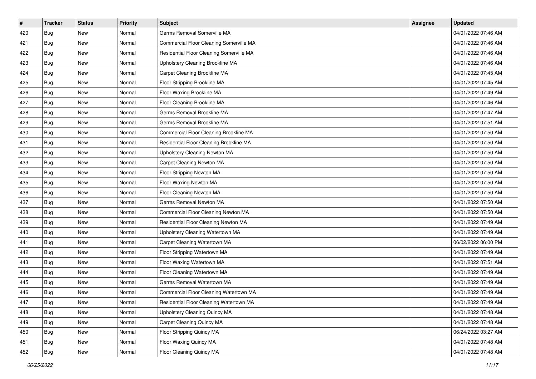| #   | <b>Tracker</b> | <b>Status</b> | <b>Priority</b> | <b>Subject</b>                           | <b>Assignee</b> | <b>Updated</b>      |
|-----|----------------|---------------|-----------------|------------------------------------------|-----------------|---------------------|
| 420 | <b>Bug</b>     | New           | Normal          | Germs Removal Somerville MA              |                 | 04/01/2022 07:46 AM |
| 421 | <b>Bug</b>     | New           | Normal          | Commercial Floor Cleaning Somerville MA  |                 | 04/01/2022 07:46 AM |
| 422 | Bug            | New           | Normal          | Residential Floor Cleaning Somerville MA |                 | 04/01/2022 07:46 AM |
| 423 | Bug            | New           | Normal          | Upholstery Cleaning Brookline MA         |                 | 04/01/2022 07:46 AM |
| 424 | <b>Bug</b>     | New           | Normal          | Carpet Cleaning Brookline MA             |                 | 04/01/2022 07:45 AM |
| 425 | <b>Bug</b>     | New           | Normal          | Floor Stripping Brookline MA             |                 | 04/01/2022 07:45 AM |
| 426 | Bug            | New           | Normal          | Floor Waxing Brookline MA                |                 | 04/01/2022 07:49 AM |
| 427 | <b>Bug</b>     | New           | Normal          | Floor Cleaning Brookline MA              |                 | 04/01/2022 07:46 AM |
| 428 | Bug            | New           | Normal          | Germs Removal Brookline MA               |                 | 04/01/2022 07:47 AM |
| 429 | <b>Bug</b>     | New           | Normal          | Germs Removal Brookline MA               |                 | 04/01/2022 07:51 AM |
| 430 | <b>Bug</b>     | New           | Normal          | Commercial Floor Cleaning Brookline MA   |                 | 04/01/2022 07:50 AM |
| 431 | Bug            | New           | Normal          | Residential Floor Cleaning Brookline MA  |                 | 04/01/2022 07:50 AM |
| 432 | <b>Bug</b>     | New           | Normal          | Upholstery Cleaning Newton MA            |                 | 04/01/2022 07:50 AM |
| 433 | Bug            | New           | Normal          | Carpet Cleaning Newton MA                |                 | 04/01/2022 07:50 AM |
| 434 | Bug            | New           | Normal          | Floor Stripping Newton MA                |                 | 04/01/2022 07:50 AM |
| 435 | Bug            | New           | Normal          | Floor Waxing Newton MA                   |                 | 04/01/2022 07:50 AM |
| 436 | Bug            | New           | Normal          | Floor Cleaning Newton MA                 |                 | 04/01/2022 07:50 AM |
| 437 | <b>Bug</b>     | New           | Normal          | Germs Removal Newton MA                  |                 | 04/01/2022 07:50 AM |
| 438 | <b>Bug</b>     | New           | Normal          | Commercial Floor Cleaning Newton MA      |                 | 04/01/2022 07:50 AM |
| 439 | <b>Bug</b>     | New           | Normal          | Residential Floor Cleaning Newton MA     |                 | 04/01/2022 07:49 AM |
| 440 | <b>Bug</b>     | New           | Normal          | Upholstery Cleaning Watertown MA         |                 | 04/01/2022 07:49 AM |
| 441 | Bug            | New           | Normal          | Carpet Cleaning Watertown MA             |                 | 06/02/2022 06:00 PM |
| 442 | <b>Bug</b>     | New           | Normal          | Floor Stripping Watertown MA             |                 | 04/01/2022 07:49 AM |
| 443 | <b>Bug</b>     | New           | Normal          | Floor Waxing Watertown MA                |                 | 04/01/2022 07:51 AM |
| 444 | <b>Bug</b>     | New           | Normal          | Floor Cleaning Watertown MA              |                 | 04/01/2022 07:49 AM |
| 445 | Bug            | New           | Normal          | Germs Removal Watertown MA               |                 | 04/01/2022 07:49 AM |
| 446 | <b>Bug</b>     | New           | Normal          | Commercial Floor Cleaning Watertown MA   |                 | 04/01/2022 07:49 AM |
| 447 | <b>Bug</b>     | New           | Normal          | Residential Floor Cleaning Watertown MA  |                 | 04/01/2022 07:49 AM |
| 448 | <b>Bug</b>     | New           | Normal          | Upholstery Cleaning Quincy MA            |                 | 04/01/2022 07:48 AM |
| 449 | <b>Bug</b>     | New           | Normal          | Carpet Cleaning Quincy MA                |                 | 04/01/2022 07:48 AM |
| 450 | <b>Bug</b>     | New           | Normal          | Floor Stripping Quincy MA                |                 | 06/24/2022 03:27 AM |
| 451 | <b>Bug</b>     | New           | Normal          | Floor Waxing Quincy MA                   |                 | 04/01/2022 07:48 AM |
| 452 | <b>Bug</b>     | New           | Normal          | Floor Cleaning Quincy MA                 |                 | 04/01/2022 07:48 AM |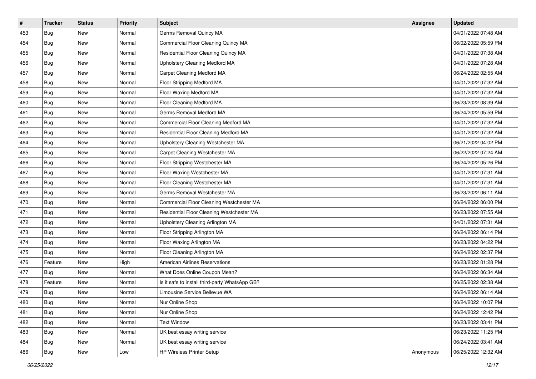| #   | <b>Tracker</b> | <b>Status</b> | <b>Priority</b> | Subject                                        | <b>Assignee</b> | <b>Updated</b>      |
|-----|----------------|---------------|-----------------|------------------------------------------------|-----------------|---------------------|
| 453 | Bug            | New           | Normal          | Germs Removal Quincy MA                        |                 | 04/01/2022 07:48 AM |
| 454 | <b>Bug</b>     | New           | Normal          | Commercial Floor Cleaning Quincy MA            |                 | 06/02/2022 05:59 PM |
| 455 | Bug            | New           | Normal          | Residential Floor Cleaning Quincy MA           |                 | 04/01/2022 07:38 AM |
| 456 | Bug            | New           | Normal          | Upholstery Cleaning Medford MA                 |                 | 04/01/2022 07:28 AM |
| 457 | <b>Bug</b>     | New           | Normal          | Carpet Cleaning Medford MA                     |                 | 06/24/2022 02:55 AM |
| 458 | Bug            | New           | Normal          | Floor Stripping Medford MA                     |                 | 04/01/2022 07:32 AM |
| 459 | <b>Bug</b>     | New           | Normal          | Floor Waxing Medford MA                        |                 | 04/01/2022 07:32 AM |
| 460 | Bug            | New           | Normal          | Floor Cleaning Medford MA                      |                 | 06/23/2022 08:39 AM |
| 461 | Bug            | New           | Normal          | Germs Removal Medford MA                       |                 | 06/24/2022 05:59 PM |
| 462 | <b>Bug</b>     | New           | Normal          | Commercial Floor Cleaning Medford MA           |                 | 04/01/2022 07:32 AM |
| 463 | <b>Bug</b>     | New           | Normal          | Residential Floor Cleaning Medford MA          |                 | 04/01/2022 07:32 AM |
| 464 | Bug            | New           | Normal          | Upholstery Cleaning Westchester MA             |                 | 06/21/2022 04:02 PM |
| 465 | Bug            | New           | Normal          | Carpet Cleaning Westchester MA                 |                 | 06/22/2022 07:24 AM |
| 466 | <b>Bug</b>     | New           | Normal          | Floor Stripping Westchester MA                 |                 | 06/24/2022 05:26 PM |
| 467 | <b>Bug</b>     | New           | Normal          | Floor Waxing Westchester MA                    |                 | 04/01/2022 07:31 AM |
| 468 | Bug            | New           | Normal          | Floor Cleaning Westchester MA                  |                 | 04/01/2022 07:31 AM |
| 469 | Bug            | New           | Normal          | Germs Removal Westchester MA                   |                 | 06/23/2022 06:11 AM |
| 470 | <b>Bug</b>     | New           | Normal          | Commercial Floor Cleaning Westchester MA       |                 | 06/24/2022 06:00 PM |
| 471 | Bug            | New           | Normal          | Residential Floor Cleaning Westchester MA      |                 | 06/23/2022 07:55 AM |
| 472 | <b>Bug</b>     | New           | Normal          | Upholstery Cleaning Arlington MA               |                 | 04/01/2022 07:31 AM |
| 473 | Bug            | New           | Normal          | Floor Stripping Arlington MA                   |                 | 06/24/2022 06:14 PM |
| 474 | <b>Bug</b>     | New           | Normal          | Floor Waxing Arlington MA                      |                 | 06/23/2022 04:22 PM |
| 475 | Bug            | New           | Normal          | Floor Cleaning Arlington MA                    |                 | 06/24/2022 02:37 PM |
| 476 | Feature        | New           | High            | <b>American Airlines Reservations</b>          |                 | 06/23/2022 01:28 PM |
| 477 | Bug            | New           | Normal          | What Does Online Coupon Mean?                  |                 | 06/24/2022 06:34 AM |
| 478 | Feature        | New           | Normal          | Is it safe to install third-party WhatsApp GB? |                 | 06/25/2022 02:38 AM |
| 479 | Bug            | New           | Normal          | Limousine Service Bellevue WA                  |                 | 06/24/2022 06:14 AM |
| 480 | <b>Bug</b>     | New           | Normal          | Nur Online Shop                                |                 | 06/24/2022 10:07 PM |
| 481 | Bug            | New           | Normal          | Nur Online Shop                                |                 | 06/24/2022 12:42 PM |
| 482 | Bug            | New           | Normal          | <b>Text Window</b>                             |                 | 06/23/2022 03:41 PM |
| 483 | Bug            | New           | Normal          | UK best essay writing service                  |                 | 06/23/2022 11:25 PM |
| 484 | Bug            | New           | Normal          | UK best essay writing service                  |                 | 06/24/2022 03:41 AM |
| 486 | <b>Bug</b>     | New           | Low             | <b>HP Wireless Printer Setup</b>               | Anonymous       | 06/25/2022 12:32 AM |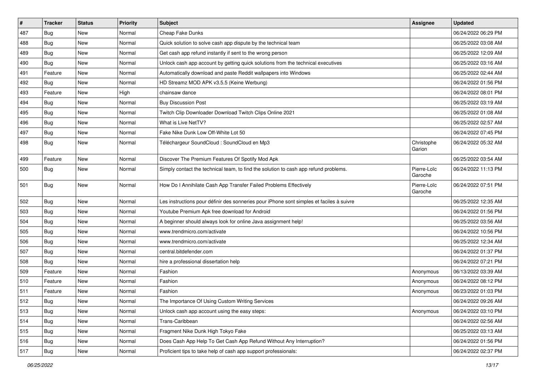| #   | <b>Tracker</b> | <b>Status</b> | <b>Priority</b> | <b>Subject</b>                                                                           | <b>Assignee</b>        | <b>Updated</b>      |
|-----|----------------|---------------|-----------------|------------------------------------------------------------------------------------------|------------------------|---------------------|
| 487 | <b>Bug</b>     | New           | Normal          | Cheap Fake Dunks                                                                         |                        | 06/24/2022 06:29 PM |
| 488 | Bug            | New           | Normal          | Quick solution to solve cash app dispute by the technical team                           |                        | 06/25/2022 03:08 AM |
| 489 | Bug            | New           | Normal          | Get cash app refund instantly if sent to the wrong person                                |                        | 06/25/2022 12:09 AM |
| 490 | <b>Bug</b>     | <b>New</b>    | Normal          | Unlock cash app account by getting quick solutions from the technical executives         |                        | 06/25/2022 03:16 AM |
| 491 | Feature        | <b>New</b>    | Normal          | Automatically download and paste Reddit wallpapers into Windows                          |                        | 06/25/2022 02:44 AM |
| 492 | Bug            | New           | Normal          | HD Streamz MOD APK v3.5.5 (Keine Werbung)                                                |                        | 06/24/2022 01:56 PM |
| 493 | Feature        | New           | High            | chainsaw dance                                                                           |                        | 06/24/2022 08:01 PM |
| 494 | Bug            | New           | Normal          | <b>Buy Discussion Post</b>                                                               |                        | 06/25/2022 03:19 AM |
| 495 | <b>Bug</b>     | <b>New</b>    | Normal          | Twitch Clip Downloader Download Twitch Clips Online 2021                                 |                        | 06/25/2022 01:08 AM |
| 496 | <b>Bug</b>     | New           | Normal          | What is Live NetTV?                                                                      |                        | 06/25/2022 02:57 AM |
| 497 | Bug            | <b>New</b>    | Normal          | Fake Nike Dunk Low Off-White Lot 50                                                      |                        | 06/24/2022 07:45 PM |
| 498 | Bug            | New           | Normal          | Téléchargeur SoundCloud : SoundCloud en Mp3                                              | Christophe<br>Garion   | 06/24/2022 05:32 AM |
| 499 | Feature        | <b>New</b>    | Normal          | Discover The Premium Features Of Spotify Mod Apk                                         |                        | 06/25/2022 03:54 AM |
| 500 | <b>Bug</b>     | New           | Normal          | Simply contact the technical team, to find the solution to cash app refund problems.     | Pierre-Loïc<br>Garoche | 06/24/2022 11:13 PM |
| 501 | <b>Bug</b>     | <b>New</b>    | Normal          | How Do I Annihilate Cash App Transfer Failed Problems Effectively                        | Pierre-Loïc<br>Garoche | 06/24/2022 07:51 PM |
| 502 | Bug            | <b>New</b>    | Normal          | Les instructions pour définir des sonneries pour iPhone sont simples et faciles à suivre |                        | 06/25/2022 12:35 AM |
| 503 | Bug            | New           | Normal          | Youtube Premium Apk free download for Android                                            |                        | 06/24/2022 01:56 PM |
| 504 | <b>Bug</b>     | <b>New</b>    | Normal          | A beginner should always look for online Java assignment help!                           |                        | 06/25/2022 03:56 AM |
| 505 | Bug            | <b>New</b>    | Normal          | www.trendmicro.com/activate                                                              |                        | 06/24/2022 10:56 PM |
| 506 | Bug            | New           | Normal          | www.trendmicro.com/activate                                                              |                        | 06/25/2022 12:34 AM |
| 507 | Bug            | New           | Normal          | central.bitdefender.com                                                                  |                        | 06/24/2022 01:37 PM |
| 508 | <b>Bug</b>     | <b>New</b>    | Normal          | hire a professional dissertation help                                                    |                        | 06/24/2022 07:21 PM |
| 509 | Feature        | <b>New</b>    | Normal          | Fashion                                                                                  | Anonymous              | 06/13/2022 03:39 AM |
| 510 | Feature        | New           | Normal          | Fashion                                                                                  | Anonymous              | 06/24/2022 08:12 PM |
| 511 | Feature        | New           | Normal          | Fashion                                                                                  | Anonymous              | 06/23/2022 01:03 PM |
| 512 | Bug            | New           | Normal          | The Importance Of Using Custom Writing Services                                          |                        | 06/24/2022 09:26 AM |
| 513 | Bug            | New           | Normal          | Unlock cash app account using the easy steps:                                            | Anonymous              | 06/24/2022 03:10 PM |
| 514 | Bug            | New           | Normal          | Trans-Caribbean                                                                          |                        | 06/24/2022 02:56 AM |
| 515 | Bug            | New           | Normal          | Fragment Nike Dunk High Tokyo Fake                                                       |                        | 06/25/2022 03:13 AM |
| 516 | Bug            | New           | Normal          | Does Cash App Help To Get Cash App Refund Without Any Interruption?                      |                        | 06/24/2022 01:56 PM |
| 517 | <b>Bug</b>     | New           | Normal          | Proficient tips to take help of cash app support professionals:                          |                        | 06/24/2022 02:37 PM |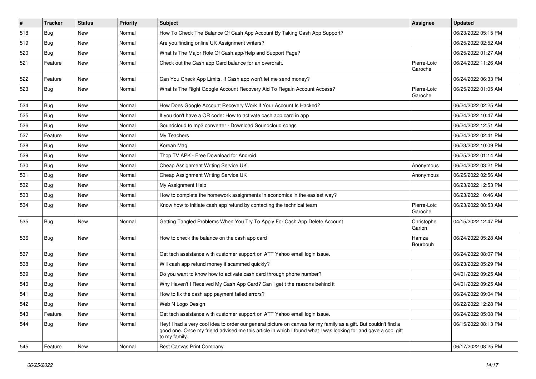| $\sharp$ | <b>Tracker</b> | <b>Status</b> | <b>Priority</b> | Subject                                                                                                                                                                                                                                           | <b>Assignee</b>        | <b>Updated</b>      |
|----------|----------------|---------------|-----------------|---------------------------------------------------------------------------------------------------------------------------------------------------------------------------------------------------------------------------------------------------|------------------------|---------------------|
| 518      | <b>Bug</b>     | New           | Normal          | How To Check The Balance Of Cash App Account By Taking Cash App Support?                                                                                                                                                                          |                        | 06/23/2022 05:15 PM |
| 519      | <b>Bug</b>     | <b>New</b>    | Normal          | Are you finding online UK Assignment writers?                                                                                                                                                                                                     |                        | 06/25/2022 02:52 AM |
| 520      | <b>Bug</b>     | New           | Normal          | What Is The Major Role Of Cash.app/Help and Support Page?                                                                                                                                                                                         |                        | 06/25/2022 01:27 AM |
| 521      | Feature        | New           | Normal          | Check out the Cash app Card balance for an overdraft.                                                                                                                                                                                             | Pierre-Loïc<br>Garoche | 06/24/2022 11:26 AM |
| 522      | Feature        | <b>New</b>    | Normal          | Can You Check App Limits, If Cash app won't let me send money?                                                                                                                                                                                    |                        | 06/24/2022 06:33 PM |
| 523      | <b>Bug</b>     | New           | Normal          | What Is The Right Google Account Recovery Aid To Regain Account Access?                                                                                                                                                                           | Pierre-Loïc<br>Garoche | 06/25/2022 01:05 AM |
| 524      | <b>Bug</b>     | <b>New</b>    | Normal          | How Does Google Account Recovery Work If Your Account Is Hacked?                                                                                                                                                                                  |                        | 06/24/2022 02:25 AM |
| 525      | <b>Bug</b>     | New           | Normal          | If you don't have a QR code: How to activate cash app card in app                                                                                                                                                                                 |                        | 06/24/2022 10:47 AM |
| 526      | <b>Bug</b>     | New           | Normal          | Soundcloud to mp3 converter - Download Soundcloud songs                                                                                                                                                                                           |                        | 06/24/2022 12:51 AM |
| 527      | Feature        | New           | Normal          | My Teachers                                                                                                                                                                                                                                       |                        | 06/24/2022 02:41 PM |
| 528      | <b>Bug</b>     | New           | Normal          | Korean Mag                                                                                                                                                                                                                                        |                        | 06/23/2022 10:09 PM |
| 529      | <b>Bug</b>     | New           | Normal          | Thop TV APK - Free Download for Android                                                                                                                                                                                                           |                        | 06/25/2022 01:14 AM |
| 530      | <b>Bug</b>     | New           | Normal          | Cheap Assignment Writing Service UK                                                                                                                                                                                                               | Anonymous              | 06/24/2022 03:21 PM |
| 531      | <b>Bug</b>     | New           | Normal          | Cheap Assignment Writing Service UK                                                                                                                                                                                                               | Anonymous              | 06/25/2022 02:56 AM |
| 532      | <b>Bug</b>     | New           | Normal          | My Assignment Help                                                                                                                                                                                                                                |                        | 06/23/2022 12:53 PM |
| 533      | Bug            | <b>New</b>    | Normal          | How to complete the homework assignments in economics in the easiest way?                                                                                                                                                                         |                        | 06/23/2022 10:46 AM |
| 534      | <b>Bug</b>     | New           | Normal          | Know how to initiate cash app refund by contacting the technical team                                                                                                                                                                             | Pierre-Loïc<br>Garoche | 06/23/2022 08:53 AM |
| 535      | <b>Bug</b>     | <b>New</b>    | Normal          | Getting Tangled Problems When You Try To Apply For Cash App Delete Account                                                                                                                                                                        | Christophe<br>Garion   | 04/15/2022 12:47 PM |
| 536      | <b>Bug</b>     | New           | Normal          | How to check the balance on the cash app card                                                                                                                                                                                                     | Hamza<br>Bourbouh      | 06/24/2022 05:28 AM |
| 537      | <b>Bug</b>     | <b>New</b>    | Normal          | Get tech assistance with customer support on ATT Yahoo email login issue.                                                                                                                                                                         |                        | 06/24/2022 08:07 PM |
| 538      | Bug            | New           | Normal          | Will cash app refund money if scammed quickly?                                                                                                                                                                                                    |                        | 06/23/2022 05:29 PM |
| 539      | <b>Bug</b>     | New           | Normal          | Do you want to know how to activate cash card through phone number?                                                                                                                                                                               |                        | 04/01/2022 09:25 AM |
| 540      | Bug            | New           | Normal          | Why Haven't I Received My Cash App Card? Can I get t the reasons behind it                                                                                                                                                                        |                        | 04/01/2022 09:25 AM |
| 541      | <b>Bug</b>     | New           | Normal          | How to fix the cash app payment failed errors?                                                                                                                                                                                                    |                        | 06/24/2022 09:04 PM |
| 542      | Bug            | New           | Normal          | Web N Logo Design                                                                                                                                                                                                                                 |                        | 06/22/2022 12:28 PM |
| 543      | Feature        | New           | Normal          | Get tech assistance with customer support on ATT Yahoo email login issue.                                                                                                                                                                         |                        | 06/24/2022 05:08 PM |
| 544      | Bug            | New           | Normal          | Hey! I had a very cool idea to order our general picture on canvas for my family as a gift. But couldn't find a<br>good one. Once my friend advised me this article in which I found what I was looking for and gave a cool gift<br>to my family. |                        | 06/15/2022 08:13 PM |
| 545      | Feature        | New           | Normal          | Best Canvas Print Company                                                                                                                                                                                                                         |                        | 06/17/2022 08:25 PM |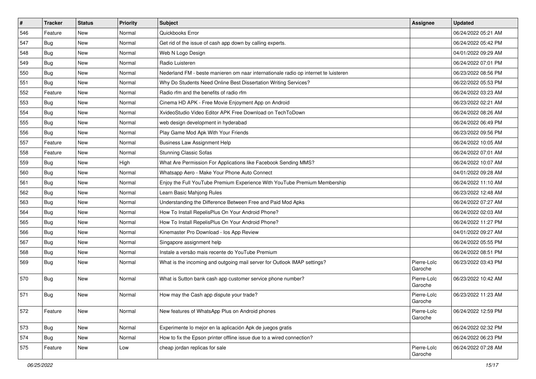| $\sharp$ | <b>Tracker</b> | <b>Status</b> | Priority | <b>Subject</b>                                                                      | <b>Assignee</b>        | <b>Updated</b>      |
|----------|----------------|---------------|----------|-------------------------------------------------------------------------------------|------------------------|---------------------|
| 546      | Feature        | New           | Normal   | Quickbooks Error                                                                    |                        | 06/24/2022 05:21 AM |
| 547      | <b>Bug</b>     | <b>New</b>    | Normal   | Get rid of the issue of cash app down by calling experts.                           |                        | 06/24/2022 05:42 PM |
| 548      | <b>Bug</b>     | New           | Normal   | Web N Logo Design                                                                   |                        | 04/01/2022 09:29 AM |
| 549      | <b>Bug</b>     | <b>New</b>    | Normal   | Radio Luisteren                                                                     |                        | 06/24/2022 07:01 PM |
| 550      | Bug            | <b>New</b>    | Normal   | Nederland FM - beste manieren om naar internationale radio op internet te luisteren |                        | 06/23/2022 08:56 PM |
| 551      | <b>Bug</b>     | <b>New</b>    | Normal   | Why Do Students Need Online Best Dissertation Writing Services?                     |                        | 06/22/2022 05:53 PM |
| 552      | Feature        | <b>New</b>    | Normal   | Radio rfm and the benefits of radio rfm                                             |                        | 06/24/2022 03:23 AM |
| 553      | <b>Bug</b>     | New           | Normal   | Cinema HD APK - Free Movie Enjoyment App on Android                                 |                        | 06/23/2022 02:21 AM |
| 554      | <b>Bug</b>     | <b>New</b>    | Normal   | XvideoStudio Video Editor APK Free Download on TechToDown                           |                        | 06/24/2022 08:26 AM |
| 555      | Bug            | <b>New</b>    | Normal   | web design development in hyderabad                                                 |                        | 06/24/2022 06:49 PM |
| 556      | <b>Bug</b>     | <b>New</b>    | Normal   | Play Game Mod Apk With Your Friends                                                 |                        | 06/23/2022 09:56 PM |
| 557      | Feature        | New           | Normal   | <b>Business Law Assignment Help</b>                                                 |                        | 06/24/2022 10:05 AM |
| 558      | Feature        | <b>New</b>    | Normal   | <b>Stunning Classic Sofas</b>                                                       |                        | 06/24/2022 07:01 AM |
| 559      | <b>Bug</b>     | New           | High     | What Are Permission For Applications like Facebook Sending MMS?                     |                        | 06/24/2022 10:07 AM |
| 560      | <b>Bug</b>     | <b>New</b>    | Normal   | Whatsapp Aero - Make Your Phone Auto Connect                                        |                        | 04/01/2022 09:28 AM |
| 561      | <b>Bug</b>     | New           | Normal   | Enjoy the Full YouTube Premium Experience With YouTube Premium Membership           |                        | 06/24/2022 11:10 AM |
| 562      | Bug            | <b>New</b>    | Normal   | Learn Basic Mahjong Rules                                                           |                        | 06/23/2022 12:48 AM |
| 563      | <b>Bug</b>     | <b>New</b>    | Normal   | Understanding the Difference Between Free and Paid Mod Apks                         |                        | 06/24/2022 07:27 AM |
| 564      | <b>Bug</b>     | <b>New</b>    | Normal   | How To Install RepelisPlus On Your Android Phone?                                   |                        | 06/24/2022 02:03 AM |
| 565      | <b>Bug</b>     | <b>New</b>    | Normal   | How To Install RepelisPlus On Your Android Phone?                                   |                        | 06/24/2022 11:27 PM |
| 566      | <b>Bug</b>     | New           | Normal   | Kinemaster Pro Download - los App Review                                            |                        | 04/01/2022 09:27 AM |
| 567      | <b>Bug</b>     | <b>New</b>    | Normal   | Singapore assignment help                                                           |                        | 06/24/2022 05:55 PM |
| 568      | Bug            | <b>New</b>    | Normal   | Instale a versão mais recente do YouTube Premium                                    |                        | 06/24/2022 08:51 PM |
| 569      | <b>Bug</b>     | New           | Normal   | What is the incoming and outgoing mail server for Outlook IMAP settings?            | Pierre-Loïc<br>Garoche | 06/23/2022 03:43 PM |
| 570      | <b>Bug</b>     | <b>New</b>    | Normal   | What is Sutton bank cash app customer service phone number?                         | Pierre-Loïc<br>Garoche | 06/23/2022 10:42 AM |
| 571      | Bug            | <b>New</b>    | Normal   | How may the Cash app dispute your trade?                                            | Pierre-Loïc<br>Garoche | 06/23/2022 11:23 AM |
| 572      | Feature        | New           | Normal   | New features of WhatsApp Plus on Android phones                                     | Pierre-Loïc<br>Garoche | 06/24/2022 12:59 PM |
| 573      | Bug            | New           | Normal   | Experimente lo mejor en la aplicación Apk de juegos gratis                          |                        | 06/24/2022 02:32 PM |
| 574      | Bug            | New           | Normal   | How to fix the Epson printer offline issue due to a wired connection?               |                        | 06/24/2022 06:23 PM |
| 575      | Feature        | New           | Low      | cheap jordan replicas for sale                                                      | Pierre-Loïc<br>Garoche | 06/24/2022 07:28 AM |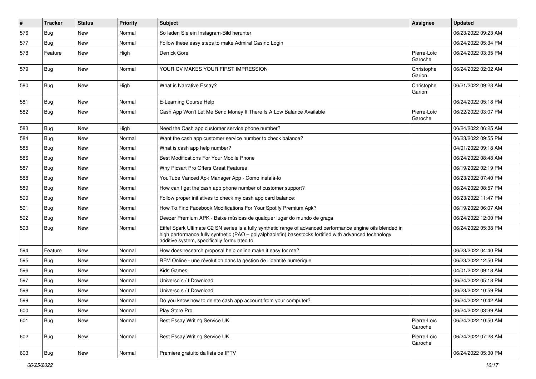| #   | <b>Tracker</b> | <b>Status</b> | <b>Priority</b> | <b>Subject</b>                                                                                                                                                                                                                                                        | <b>Assignee</b>        | <b>Updated</b>      |
|-----|----------------|---------------|-----------------|-----------------------------------------------------------------------------------------------------------------------------------------------------------------------------------------------------------------------------------------------------------------------|------------------------|---------------------|
| 576 | Bug            | New           | Normal          | So laden Sie ein Instagram-Bild herunter                                                                                                                                                                                                                              |                        | 06/23/2022 09:23 AM |
| 577 | Bug            | <b>New</b>    | Normal          | Follow these easy steps to make Admiral Casino Login                                                                                                                                                                                                                  |                        | 06/24/2022 05:34 PM |
| 578 | Feature        | New           | High            | Derrick Gore                                                                                                                                                                                                                                                          | Pierre-Loïc<br>Garoche | 06/24/2022 03:35 PM |
| 579 | <b>Bug</b>     | <b>New</b>    | Normal          | YOUR CV MAKES YOUR FIRST IMPRESSION                                                                                                                                                                                                                                   | Christophe<br>Garion   | 06/24/2022 02:02 AM |
| 580 | <b>Bug</b>     | New           | High            | What is Narrative Essay?                                                                                                                                                                                                                                              | Christophe<br>Garion   | 06/21/2022 09:28 AM |
| 581 | Bug            | New           | Normal          | E-Learning Course Help                                                                                                                                                                                                                                                |                        | 06/24/2022 05:18 PM |
| 582 | <b>Bug</b>     | New           | Normal          | Cash App Won't Let Me Send Money If There Is A Low Balance Available                                                                                                                                                                                                  | Pierre-Loïc<br>Garoche | 06/22/2022 03:07 PM |
| 583 | <b>Bug</b>     | New           | High            | Need the Cash app customer service phone number?                                                                                                                                                                                                                      |                        | 06/24/2022 06:25 AM |
| 584 | Bug            | New           | Normal          | Want the cash app customer service number to check balance?                                                                                                                                                                                                           |                        | 06/23/2022 09:55 PM |
| 585 | Bug            | New           | Normal          | What is cash app help number?                                                                                                                                                                                                                                         |                        | 04/01/2022 09:18 AM |
| 586 | <b>Bug</b>     | New           | Normal          | Best Modifications For Your Mobile Phone                                                                                                                                                                                                                              |                        | 06/24/2022 08:48 AM |
| 587 | Bug            | New           | Normal          | Why Picsart Pro Offers Great Features                                                                                                                                                                                                                                 |                        | 06/19/2022 02:19 PM |
| 588 | Bug            | New           | Normal          | YouTube Vanced Apk Manager App - Como instalá-lo                                                                                                                                                                                                                      |                        | 06/23/2022 07:40 PM |
| 589 | Bug            | New           | Normal          | How can I get the cash app phone number of customer support?                                                                                                                                                                                                          |                        | 06/24/2022 08:57 PM |
| 590 | Bug            | <b>New</b>    | Normal          | Follow proper initiatives to check my cash app card balance:                                                                                                                                                                                                          |                        | 06/23/2022 11:47 PM |
| 591 | <b>Bug</b>     | New           | Normal          | How To Find Facebook Modifications For Your Spotify Premium Apk?                                                                                                                                                                                                      |                        | 06/19/2022 06:07 AM |
| 592 | Bug            | New           | Normal          | Deezer Premium APK - Baixe músicas de qualquer lugar do mundo de graça                                                                                                                                                                                                |                        | 06/24/2022 12:00 PM |
| 593 | Bug            | New           | Normal          | Eiffel Spark Ultimate C2 SN series is a fully synthetic range of advanced performance engine oils blended in<br>high performance fully synthetic (PAO - polyalphaolefin) basestocks fortified with advanced technology<br>additive system, specifically formulated to |                        | 06/24/2022 05:38 PM |
| 594 | Feature        | New           | Normal          | How does research proposal help online make it easy for me?                                                                                                                                                                                                           |                        | 06/23/2022 04:40 PM |
| 595 | Bug            | New           | Normal          | RFM Online - une révolution dans la gestion de l'identité numérique                                                                                                                                                                                                   |                        | 06/23/2022 12:50 PM |
| 596 | Bug            | New           | Normal          | <b>Kids Games</b>                                                                                                                                                                                                                                                     |                        | 04/01/2022 09:18 AM |
| 597 | Bug            | New           | Normal          | Universo s / f Download                                                                                                                                                                                                                                               |                        | 06/24/2022 05:18 PM |
| 598 | Bug            | New           | Normal          | Universo s / f Download                                                                                                                                                                                                                                               |                        | 06/23/2022 10:59 PM |
| 599 | I Bug          | New           | Normal          | Do you know how to delete cash app account from your computer?                                                                                                                                                                                                        |                        | 06/24/2022 10:42 AM |
| 600 | <b>Bug</b>     | New           | Normal          | Play Store Pro                                                                                                                                                                                                                                                        |                        | 06/24/2022 03:39 AM |
| 601 | <b>Bug</b>     | New           | Normal          | Best Essay Writing Service UK                                                                                                                                                                                                                                         | Pierre-Loïc<br>Garoche | 06/24/2022 10:50 AM |
| 602 | <b>Bug</b>     | New           | Normal          | Best Essay Writing Service UK                                                                                                                                                                                                                                         | Pierre-Loïc<br>Garoche | 06/24/2022 07:28 AM |
| 603 | <b>Bug</b>     | New           | Normal          | Premiere gratuito da lista de IPTV                                                                                                                                                                                                                                    |                        | 06/24/2022 05:30 PM |